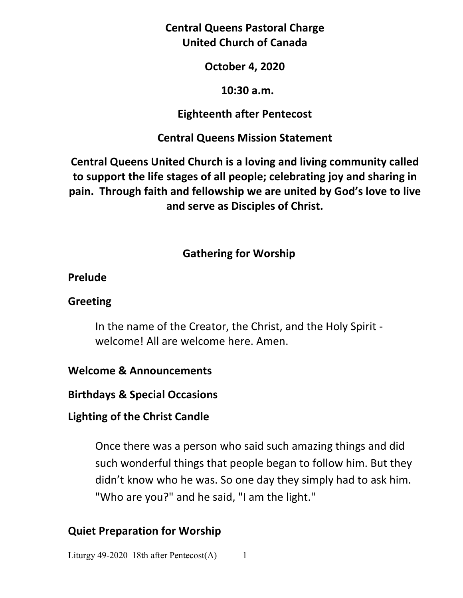**Central Queens Pastoral Charge United Church of Canada** 

### **October 4, 2020**

### **10:30 a.m.**

### **Eighteenth after Pentecost**

## **Central Queens Mission Statement**

**Central Queens United Church is a loving and living community called to support the life stages of all people; celebrating joy and sharing in pain. Through faith and fellowship we are united by God's love to live and serve as Disciples of Christ.**

## **Gathering for Worship**

### **Prelude**

### **Greeting**

In the name of the Creator, the Christ, and the Holy Spirit welcome! All are welcome here. Amen.

## **Welcome & Announcements**

**Birthdays & Special Occasions** 

## **Lighting of the Christ Candle**

Once there was a person who said such amazing things and did such wonderful things that people began to follow him. But they didn't know who he was. So one day they simply had to ask him. "Who are you?" and he said, "I am the light."

## **Quiet Preparation for Worship**

Liturgy 49-2020 18th after Pentecost $(A)$  1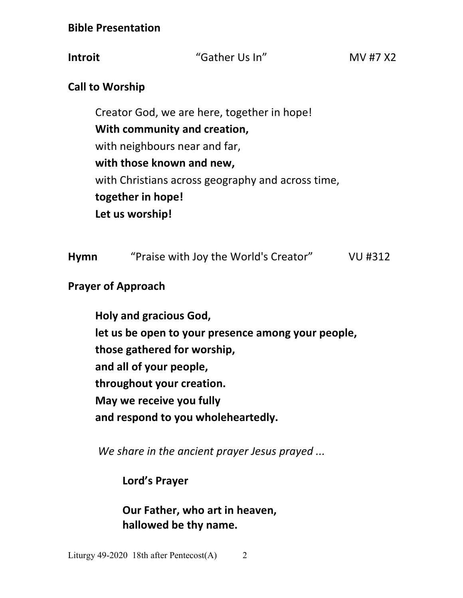**Bible Presentation** 

**Introit "Gather Us In"** MV #7 X2

## **Call to Worship**

 Creator God, we are here, together in hope!  **With community and creation,**  with neighbours near and far, **with those known and new,** with Christians across geography and across time,  **together in hope! Let us worship!**

| "Praise with Joy the World's Creator"<br><b>Hymn</b> | VU #312 |
|------------------------------------------------------|---------|
|------------------------------------------------------|---------|

## **Prayer of Approach**

 **Holy and gracious God, let us be open to your presence among your people, those gathered for worship, and all of your people, throughout your creation. May we receive you fully and respond to you wholeheartedly.** 

*We share in the ancient prayer Jesus prayed ...*

 **Lord's Prayer** 

 **Our Father, who art in heaven, hallowed be thy name.**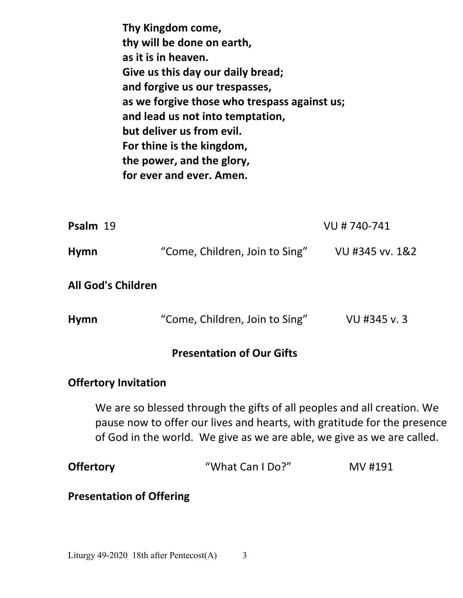| Thy Kingdom come,                            |
|----------------------------------------------|
| thy will be done on earth,                   |
| as it is in heaven.                          |
| Give us this day our daily bread;            |
| and forgive us our trespasses,               |
| as we forgive those who trespass against us; |
| and lead us not into temptation,             |
| but deliver us from evil.                    |
| For thine is the kingdom,                    |
| the power, and the glory,                    |
| for ever and ever. Amen.                     |

| Psalm 19    |                                | VU # 740-741    |
|-------------|--------------------------------|-----------------|
| <b>Hymn</b> | "Come, Children, Join to Sing" | VU #345 vv. 1&2 |

|  |  |  | <b>All God's Children</b> |
|--|--|--|---------------------------|
|--|--|--|---------------------------|

| <b>Hymn</b> | "Come, Children, Join to Sing" | VU #345 v. 3 |
|-------------|--------------------------------|--------------|
|-------------|--------------------------------|--------------|

### **Presentation of Our Gifts**

#### **Offertory Invitation**

 We are so blessed through the gifts of all peoples and all creation. We pause now to offer our lives and hearts, with gratitude for the presence of God in the world. We give as we are able, we give as we are called.

| <b>Offertory</b> | "What Can I Do?" | MV #191 |
|------------------|------------------|---------|
|                  |                  |         |

**Presentation of Offering**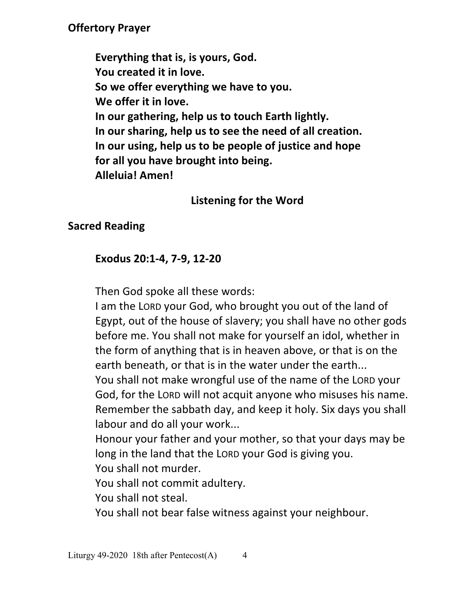# **Offertory Prayer**

 **Everything that is, is yours, God. You created it in love. So we offer everything we have to you. We offer it in love. In our gathering, help us to touch Earth lightly. In our sharing, help us to see the need of all creation. In our using, help us to be people of justice and hope for all you have brought into being. Alleluia! Amen!** 

## **Listening for the Word**

# **Sacred Reading**

# **Exodus 20:1-4, 7-9, 12-20**

Then God spoke all these words:

I am the LORD your God, who brought you out of the land of Egypt, out of the house of slavery; you shall have no other gods before me. You shall not make for yourself an idol, whether in the form of anything that is in heaven above, or that is on the earth beneath, or that is in the water under the earth...

You shall not make wrongful use of the name of the LORD your God, for the LORD will not acquit anyone who misuses his name. Remember the sabbath day, and keep it holy. Six days you shall labour and do all your work...

Honour your father and your mother, so that your days may be long in the land that the LORD your God is giving you.

You shall not murder.

You shall not commit adultery.

You shall not steal.

You shall not bear false witness against your neighbour.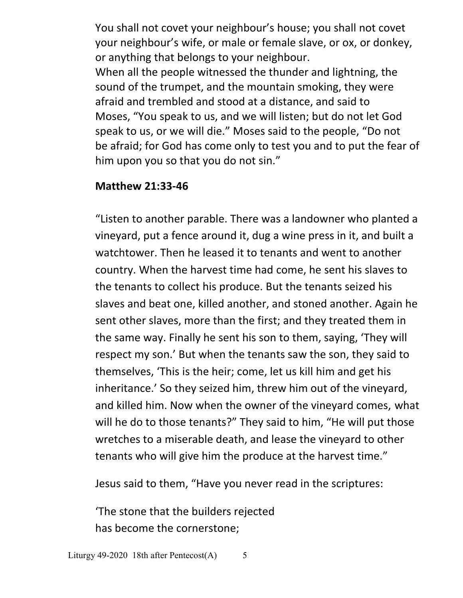You shall not covet your neighbour's house; you shall not covet your neighbour's wife, or male or female slave, or ox, or donkey, or anything that belongs to your neighbour. When all the people witnessed the thunder and lightning, the sound of the trumpet, and the mountain smoking, they were afraid and trembled and stood at a distance, and said to Moses, "You speak to us, and we will listen; but do not let God speak to us, or we will die." Moses said to the people, "Do not be afraid; for God has come only to test you and to put the fear of him upon you so that you do not sin."

### **Matthew 21:33-46**

"Listen to another parable. There was a landowner who planted a vineyard, put a fence around it, dug a wine press in it, and built a watchtower. Then he leased it to tenants and went to another country. When the harvest time had come, he sent his slaves to the tenants to collect his produce. But the tenants seized his slaves and beat one, killed another, and stoned another. Again he sent other slaves, more than the first; and they treated them in the same way. Finally he sent his son to them, saying, 'They will respect my son.' But when the tenants saw the son, they said to themselves, 'This is the heir; come, let us kill him and get his inheritance.' So they seized him, threw him out of the vineyard, and killed him. Now when the owner of the vineyard comes, what will he do to those tenants?" They said to him, "He will put those wretches to a miserable death, and lease the vineyard to other tenants who will give him the produce at the harvest time."

Jesus said to them, "Have you never read in the scriptures:

 'The stone that the builders rejected has become the cornerstone;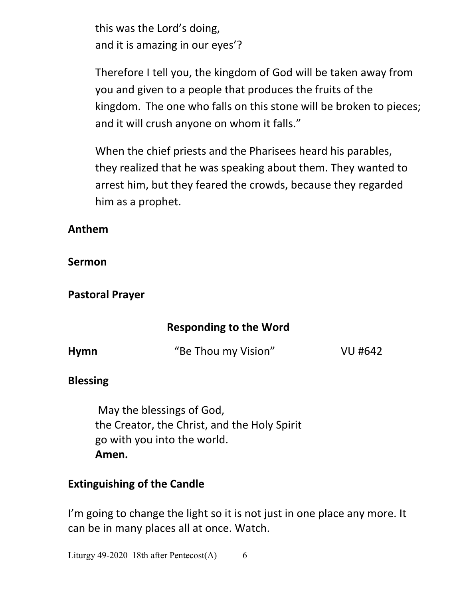this was the Lord's doing, and it is amazing in our eyes'?

Therefore I tell you, the kingdom of God will be taken away from you and given to a people that produces the fruits of the kingdom. The one who falls on this stone will be broken to pieces; and it will crush anyone on whom it falls."

When the chief priests and the Pharisees heard his parables, they realized that he was speaking about them. They wanted to arrest him, but they feared the crowds, because they regarded him as a prophet.

## **Anthem**

## **Sermon**

# **Pastoral Prayer**

# **Responding to the Word**

| <b>Hymn</b> | "Be Thou my Vision" | VU #642 |
|-------------|---------------------|---------|
|             |                     |         |

## **Blessing**

 May the blessings of God, the Creator, the Christ, and the Holy Spirit go with you into the world. **Amen.** 

# **Extinguishing of the Candle**

I'm going to change the light so it is not just in one place any more. It can be in many places all at once. Watch.